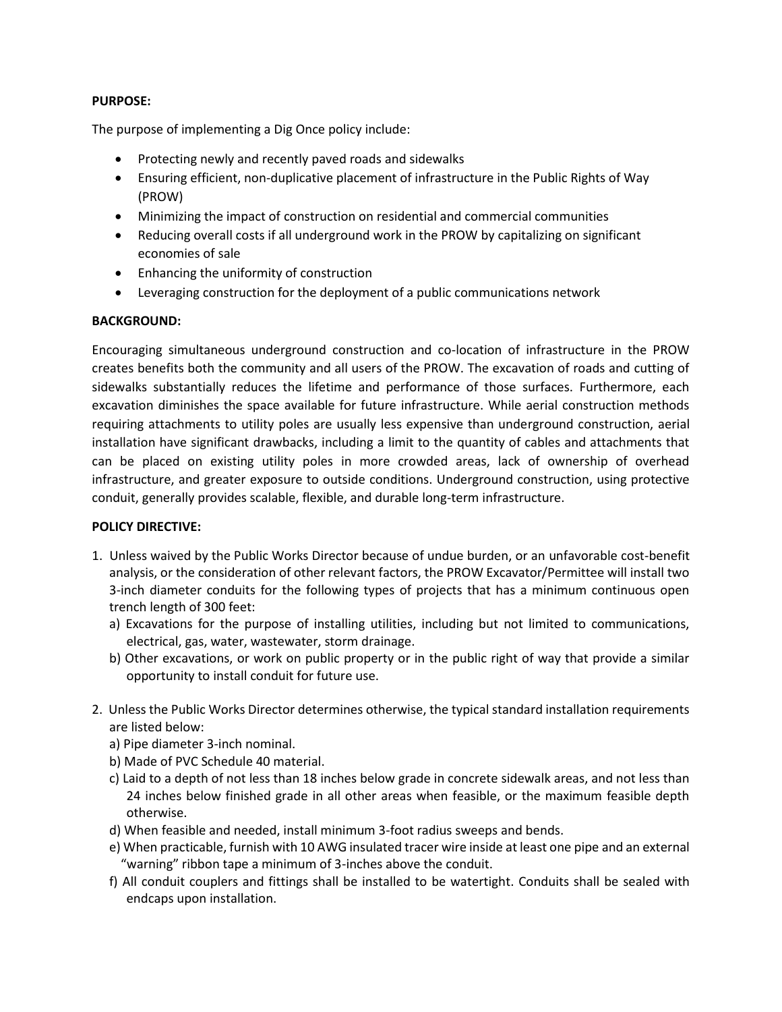## **PURPOSE:**

The purpose of implementing a Dig Once policy include:

- Protecting newly and recently paved roads and sidewalks
- Ensuring efficient, non-duplicative placement of infrastructure in the Public Rights of Way (PROW)
- Minimizing the impact of construction on residential and commercial communities
- Reducing overall costs if all underground work in the PROW by capitalizing on significant economies of sale
- Enhancing the uniformity of construction
- Leveraging construction for the deployment of a public communications network

## **BACKGROUND:**

Encouraging simultaneous underground construction and co-location of infrastructure in the PROW creates benefits both the community and all users of the PROW. The excavation of roads and cutting of sidewalks substantially reduces the lifetime and performance of those surfaces. Furthermore, each excavation diminishes the space available for future infrastructure. While aerial construction methods requiring attachments to utility poles are usually less expensive than underground construction, aerial installation have significant drawbacks, including a limit to the quantity of cables and attachments that can be placed on existing utility poles in more crowded areas, lack of ownership of overhead infrastructure, and greater exposure to outside conditions. Underground construction, using protective conduit, generally provides scalable, flexible, and durable long-term infrastructure.

## **POLICY DIRECTIVE:**

- 1. Unless waived by the Public Works Director because of undue burden, or an unfavorable cost-benefit analysis, or the consideration of other relevant factors, the PROW Excavator/Permittee will install two 3-inch diameter conduits for the following types of projects that has a minimum continuous open trench length of 300 feet:
	- a) Excavations for the purpose of installing utilities, including but not limited to communications, electrical, gas, water, wastewater, storm drainage.
	- b) Other excavations, or work on public property or in the public right of way that provide a similar opportunity to install conduit for future use.
- 2. Unless the Public Works Director determines otherwise, the typical standard installation requirements are listed below:
	- a) Pipe diameter 3-inch nominal.
	- b) Made of PVC Schedule 40 material.
	- c) Laid to a depth of not less than 18 inches below grade in concrete sidewalk areas, and not less than 24 inches below finished grade in all other areas when feasible, or the maximum feasible depth otherwise.
	- d) When feasible and needed, install minimum 3-foot radius sweeps and bends.
	- e) When practicable, furnish with 10 AWG insulated tracer wire inside at least one pipe and an external "warning" ribbon tape a minimum of 3-inches above the conduit.
	- f) All conduit couplers and fittings shall be installed to be watertight. Conduits shall be sealed with endcaps upon installation.